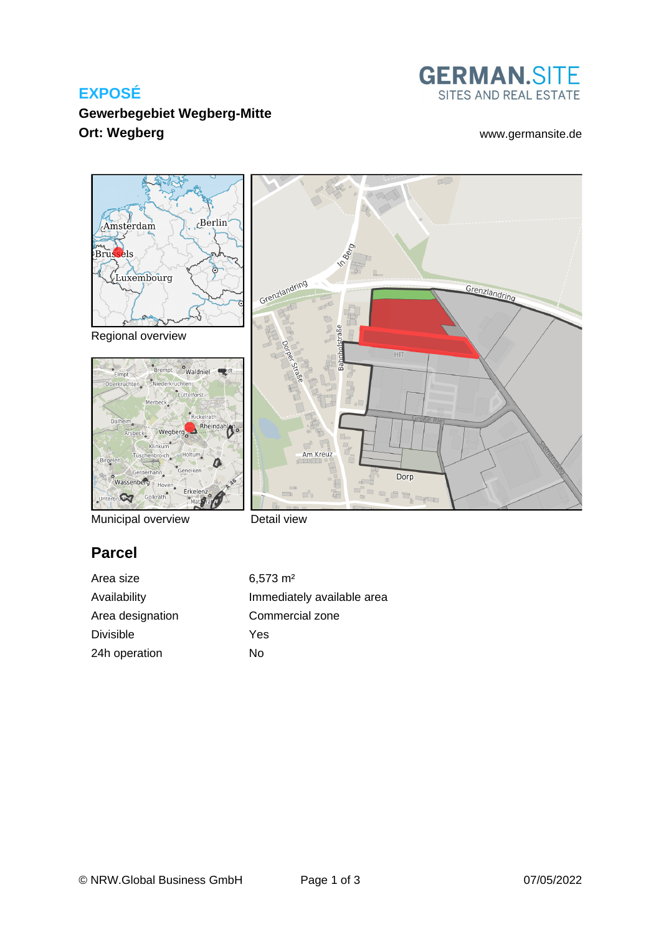# **EXPOSÉ**



Grenzlandring

 $\tau$ 

## **Gewerbegebiet Wegberg-Mitte Ort: Wegberg With a contract the contract of the contract of the contract [www.germansite.de](http://www.germansite.de)**



Regional overview



Municipal overview

Detail view

Grenzlandring

# **Parcel**

Area size 6,573 m<sup>2</sup> Area designation Commercial zone Divisible Yes 24h operation No

Availability **Immediately** available area

Am Kreuz

8  $\sim$ 

HIT

Dorp

a a<sub>b</sub>aya

 $\Box$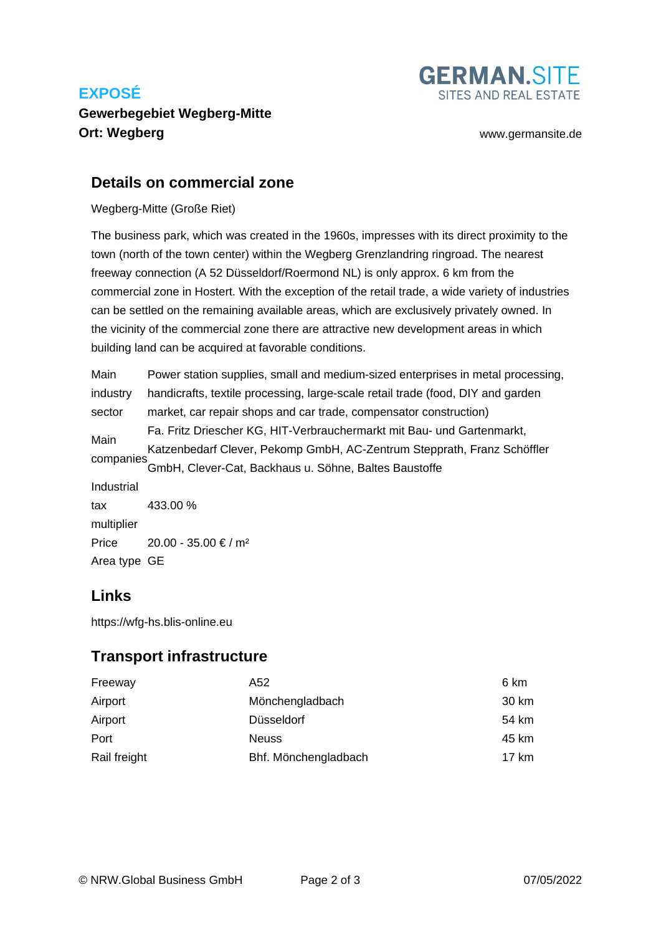# **EXPOSÉ**

# **Gewerbegebiet Wegberg-Mitte Ort: Wegberg [www.germansite.de](http://www.germansite.de)**

# SITES AND REAL ESTATE

**GERMAN.SITE** 

#### **Details on commercial zone**

#### Wegberg-Mitte (Große Riet)

The business park, which was created in the 1960s, impresses with its direct proximity to the town (north of the town center) within the Wegberg Grenzlandring ringroad. The nearest freeway connection (A 52 Düsseldorf/Roermond NL) is only approx. 6 km from the commercial zone in Hostert. With the exception of the retail trade, a wide variety of industries can be settled on the remaining available areas, which are exclusively privately owned. In the vicinity of the commercial zone there are attractive new development areas in which building land can be acquired at favorable conditions.

Main industry sector Power station supplies, small and medium-sized enterprises in metal processing, handicrafts, textile processing, large-scale retail trade (food, DIY and garden market, car repair shops and car trade, compensator construction) Main companies Fa. Fritz Driescher KG, HIT-Verbrauchermarkt mit Bau- und Gartenmarkt, Katzenbedarf Clever, Pekomp GmbH, AC-Zentrum Stepprath, Franz Schöffler GmbH, Clever-Cat, Backhaus u. Söhne, Baltes Baustoffe Industrial tax multiplier 433.00 % Price  $20.00 - 35.00 \text{€} / \text{m}^2$ Area type GE

### **Links**

<https://wfg-hs.blis-online.eu>

### **Transport infrastructure**

| Freeway      | A52                  | 6 km  |
|--------------|----------------------|-------|
| Airport      | Mönchengladbach      | 30 km |
| Airport      | Düsseldorf           | 54 km |
| Port         | <b>Neuss</b>         | 45 km |
| Rail freight | Bhf. Mönchengladbach | 17 km |